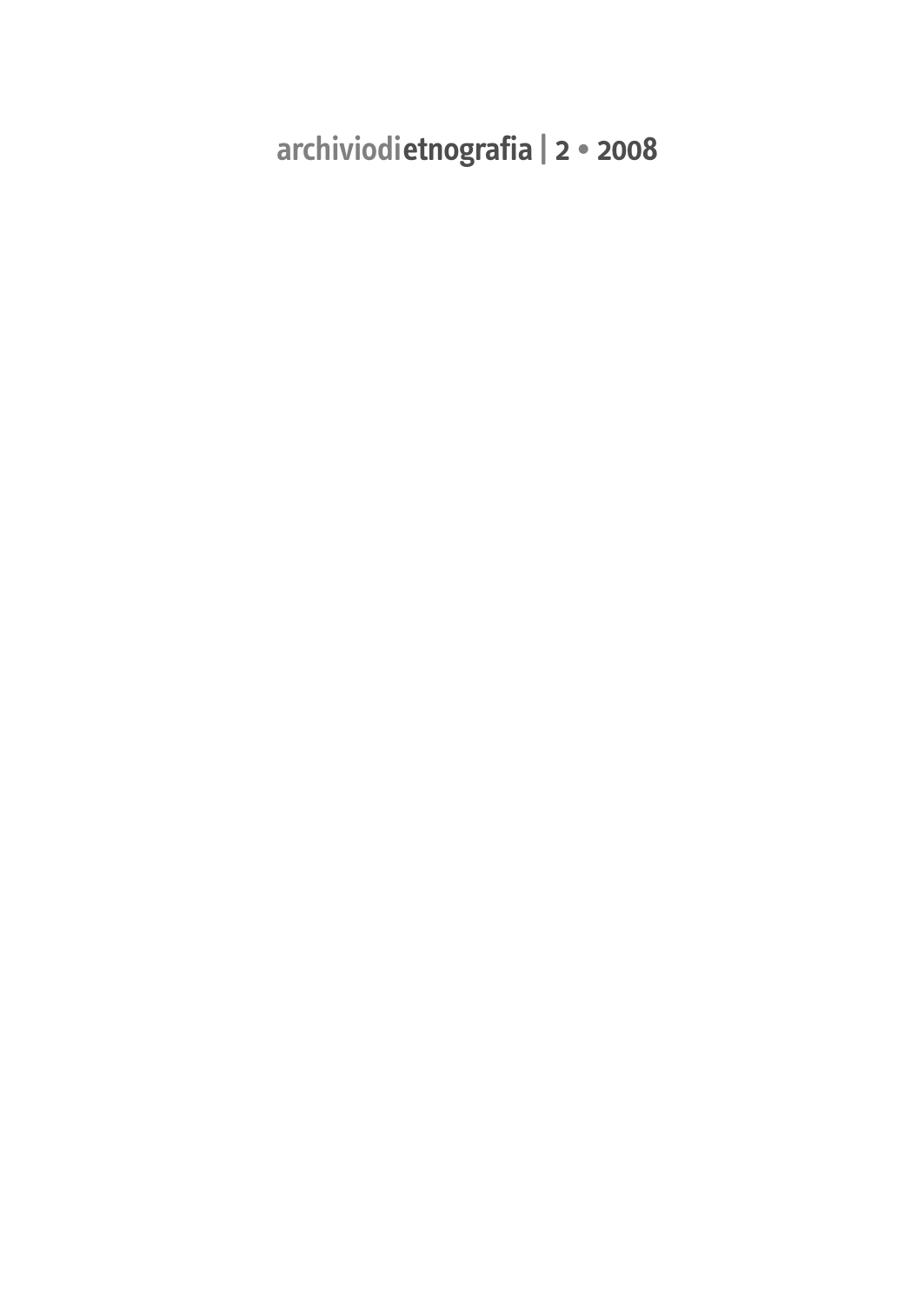**archiviodietnografia | 2 • 2008**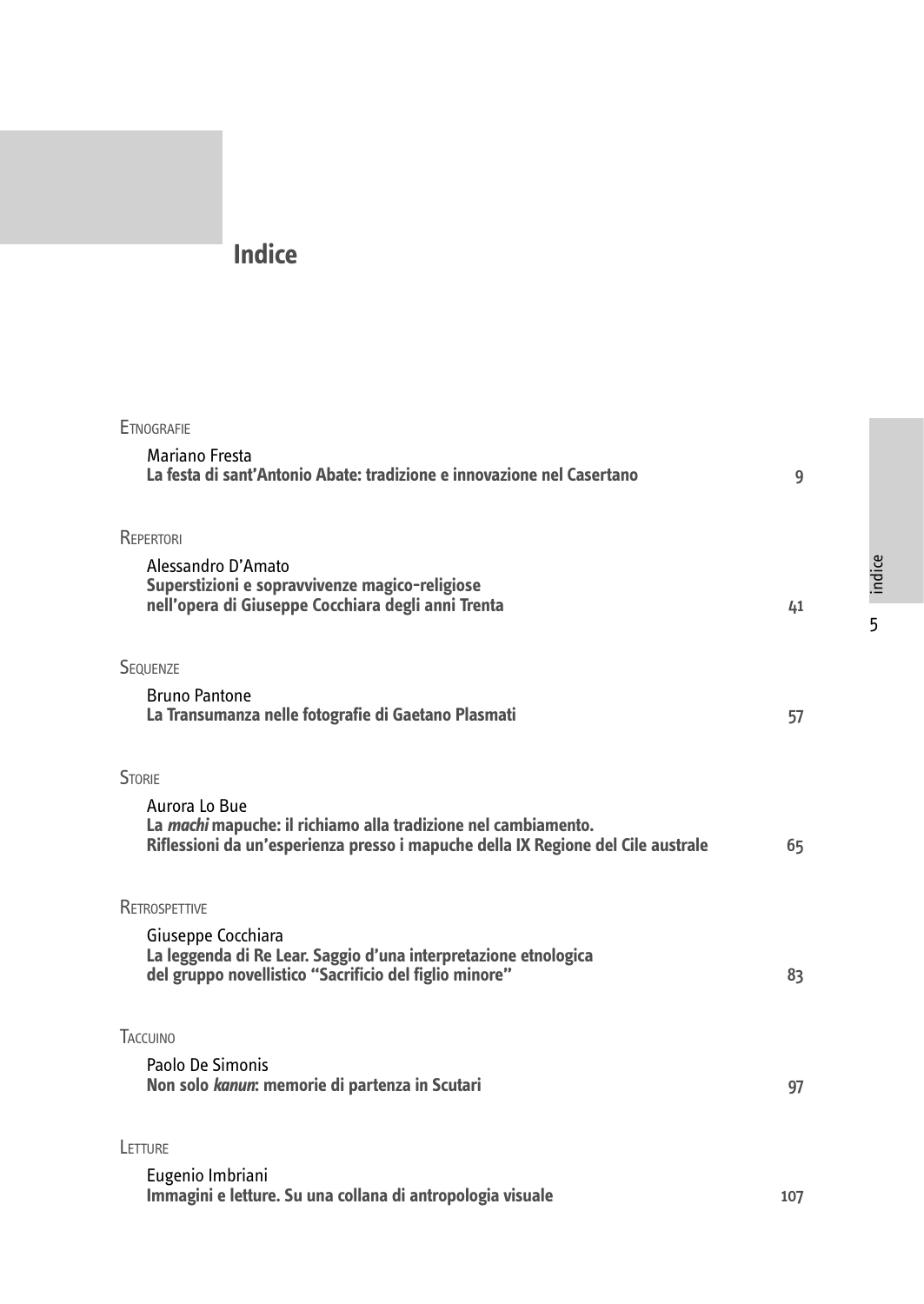## **Indice**

| <b>ETNOGRAFIE</b>                                                                                                                                                          |     |
|----------------------------------------------------------------------------------------------------------------------------------------------------------------------------|-----|
| Mariano Fresta<br>La festa di sant'Antonio Abate: tradizione e innovazione nel Casertano                                                                                   | 9   |
| REPERTORI                                                                                                                                                                  |     |
| Alessandro D'Amato<br>Superstizioni e sopravvivenze magico-religiose<br>nell'opera di Giuseppe Cocchiara degli anni Trenta                                                 | 41  |
| SEQUENZE                                                                                                                                                                   |     |
| <b>Bruno Pantone</b><br>La Transumanza nelle fotografie di Gaetano Plasmati                                                                                                | 57  |
| <b>STORIE</b>                                                                                                                                                              |     |
| Aurora Lo Bue<br>La <i>machi</i> mapuche: il richiamo alla tradizione nel cambiamento.<br>Riflessioni da un'esperienza presso i mapuche della IX Regione del Cile australe | 65  |
| RETROSPETTIVE                                                                                                                                                              |     |
| Giuseppe Cocchiara<br>La leggenda di Re Lear. Saggio d'una interpretazione etnologica<br>del gruppo novellistico "Sacrificio del figlio minore"                            | 83  |
| TACCUINO                                                                                                                                                                   |     |
| Paolo De Simonis<br>Non solo kanun: memorie di partenza in Scutari                                                                                                         | 97  |
| LETTURE                                                                                                                                                                    |     |
| Eugenio Imbriani<br>Immagini e letture. Su una collana di antropologia visuale                                                                                             | 107 |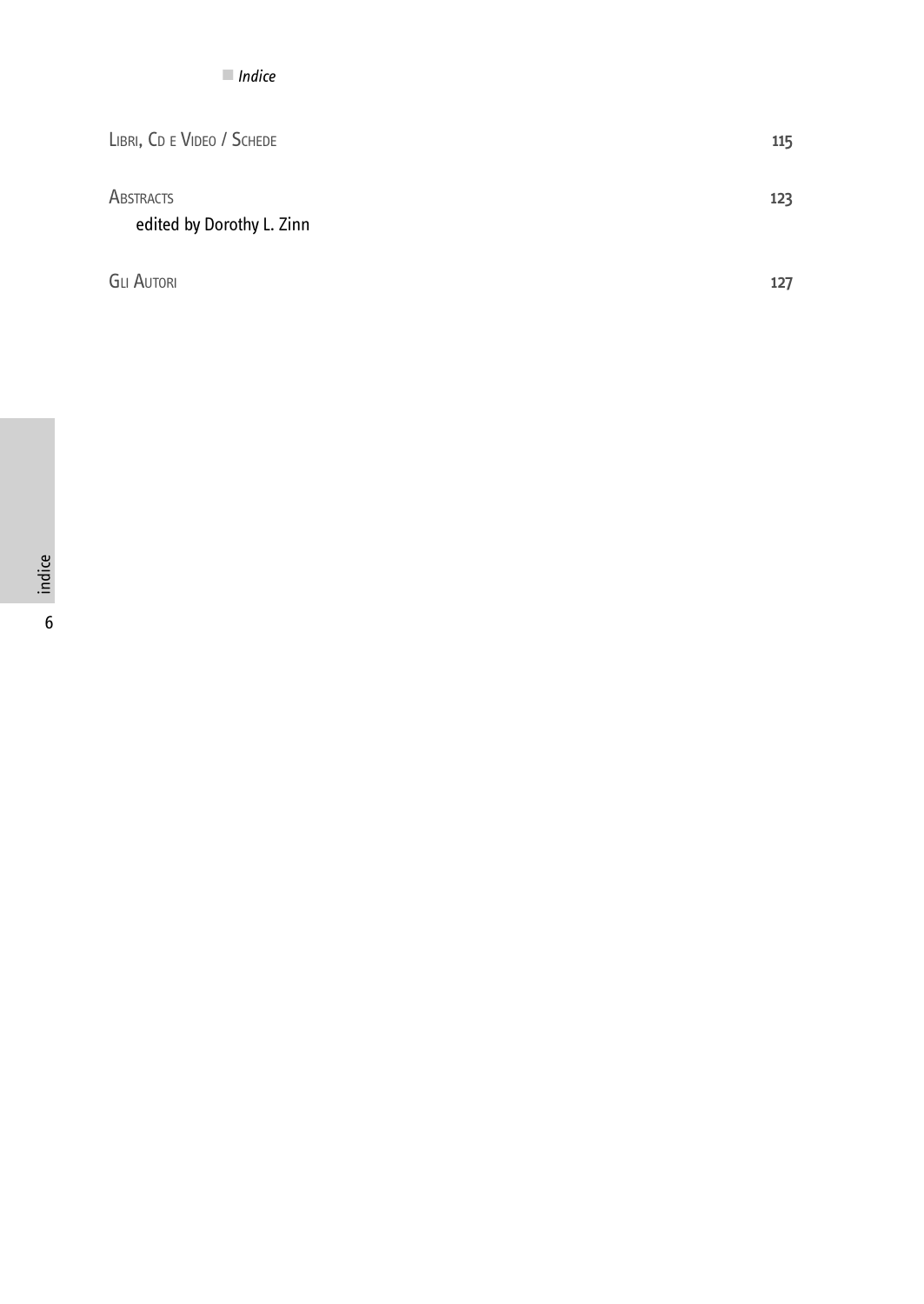| LIBRI, CD E VIDEO / SCHEDE             | 115 |
|----------------------------------------|-----|
| ABSTRACTS<br>edited by Dorothy L. Zinn | 123 |
| <b>GLI AUTORI</b>                      | 127 |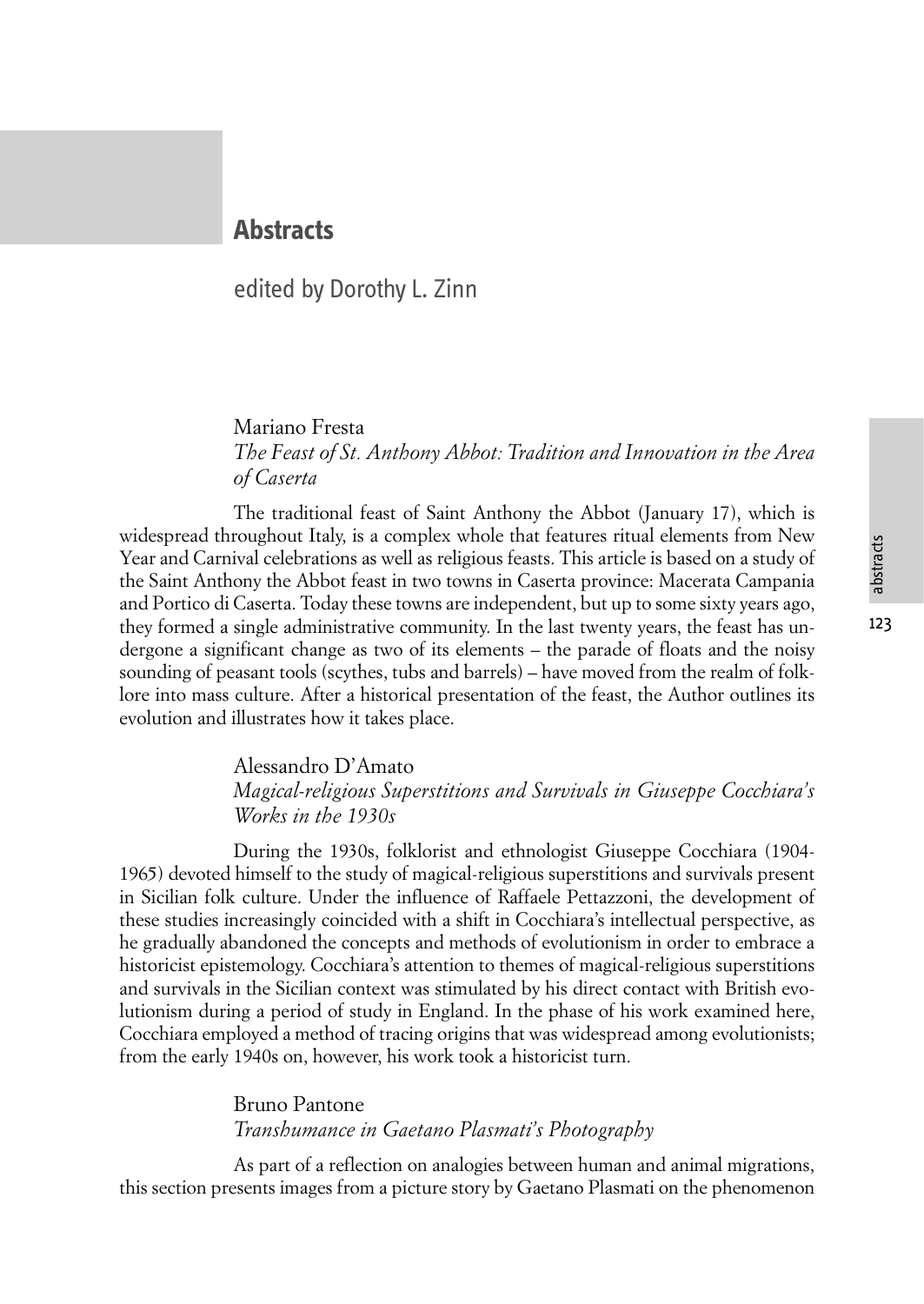# abstracts

## **Abstracts**

### edited by Dorothy L. Zinn

#### Mariano Fresta *The Feast of St. Anthony Abbot: Tradition and Innovation in the Area of Caserta*

The traditional feast of Saint Anthony the Abbot (January 17), which is widespread throughout Italy, is a complex whole that features ritual elements from New Year and Carnival celebrations as well as religious feasts. This article is based on a study of the Saint Anthony the Abbot feast in two towns in Caserta province: Macerata Campania and Portico di Caserta. Today these towns are independent, but up to some sixty years ago, they formed a single administrative community. In the last twenty years, the feast has undergone a significant change as two of its elements – the parade of floats and the noisy sounding of peasant tools (scythes, tubs and barrels) – have moved from the realm of folklore into mass culture. After a historical presentation of the feast, the Author outlines its evolution and illustrates how it takes place.

#### Alessandro D'Amato

#### *Magical-religious Superstitions and Survivals in Giuseppe Cocchiara's Works in the 1930s*

During the 1930s, folklorist and ethnologist Giuseppe Cocchiara (1904- 1965) devoted himself to the study of magical-religious superstitions and survivals present in Sicilian folk culture. Under the influence of Raffaele Pettazzoni, the development of these studies increasingly coincided with a shift in Cocchiara's intellectual perspective, as he gradually abandoned the concepts and methods of evolutionism in order to embrace a historicist epistemology. Cocchiara's attention to themes of magical-religious superstitions and survivals in the Sicilian context was stimulated by his direct contact with British evolutionism during a period of study in England. In the phase of his work examined here, Cocchiara employed a method of tracing origins that was widespread among evolutionists; from the early 1940s on, however, his work took a historicist turn.

#### Bruno Pantone *Transhumance in Gaetano Plasmati's Photography*

As part of a reflection on analogies between human and animal migrations, this section presents images from a picture story by Gaetano Plasmati on the phenomenon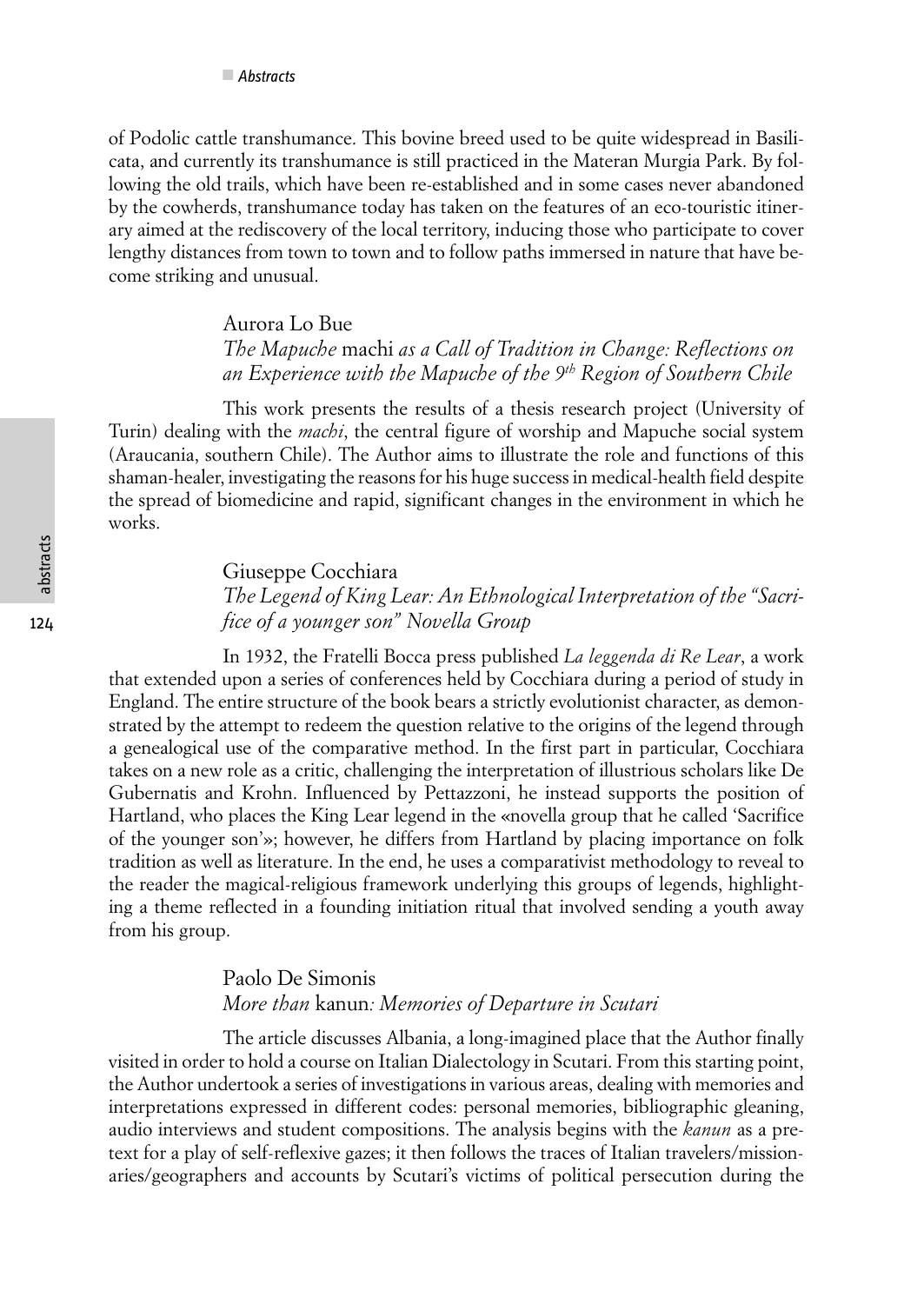of Podolic cattle transhumance. This bovine breed used to be quite widespread in Basilicata, and currently its transhumance is still practiced in the Materan Murgia Park. By following the old trails, which have been re-established and in some cases never abandoned by the cowherds, transhumance today has taken on the features of an eco-touristic itinerary aimed at the rediscovery of the local territory, inducing those who participate to cover lengthy distances from town to town and to follow paths immersed in nature that have become striking and unusual.

#### Aurora Lo Bue *The Mapuche* machi *as a Call of Tradition in Change: Reflections on an Experience with the Mapuche of the 9th Region of Southern Chile*

This work presents the results of a thesis research project (University of Turin) dealing with the *machi*, the central figure of worship and Mapuche social system (Araucania, southern Chile). The Author aims to illustrate the role and functions of this shaman-healer, investigating the reasons for his huge success in medical-health field despite the spread of biomedicine and rapid, significant changes in the environment in which he works.

Giuseppe Cocchiara

*The Legend of King Lear: An Ethnological Interpretation of the "Sacrifice of a younger son" Novella Group*

In 1932, the Fratelli Bocca press published *La leggenda di Re Lear*, a work that extended upon a series of conferences held by Cocchiara during a period of study in England. The entire structure of the book bears a strictly evolutionist character, as demonstrated by the attempt to redeem the question relative to the origins of the legend through a genealogical use of the comparative method. In the first part in particular, Cocchiara takes on a new role as a critic, challenging the interpretation of illustrious scholars like De Gubernatis and Krohn. Influenced by Pettazzoni, he instead supports the position of Hartland, who places the King Lear legend in the «novella group that he called 'Sacrifice of the younger son'»; however, he differs from Hartland by placing importance on folk tradition as well as literature. In the end, he uses a comparativist methodology to reveal to the reader the magical-religious framework underlying this groups of legends, highlighting a theme reflected in a founding initiation ritual that involved sending a youth away from his group.

#### Paolo De Simonis *More than* kanun*: Memories of Departure in Scutari*

The article discusses Albania, a long-imagined place that the Author finally visited in order to hold a course on Italian Dialectology in Scutari. From this starting point, the Author undertook a series of investigations in various areas, dealing with memories and interpretations expressed in different codes: personal memories, bibliographic gleaning, audio interviews and student compositions. The analysis begins with the *kanun* as a pretext for a play of self-reflexive gazes; it then follows the traces of Italian travelers/missionaries/geographers and accounts by Scutari's victims of political persecution during the